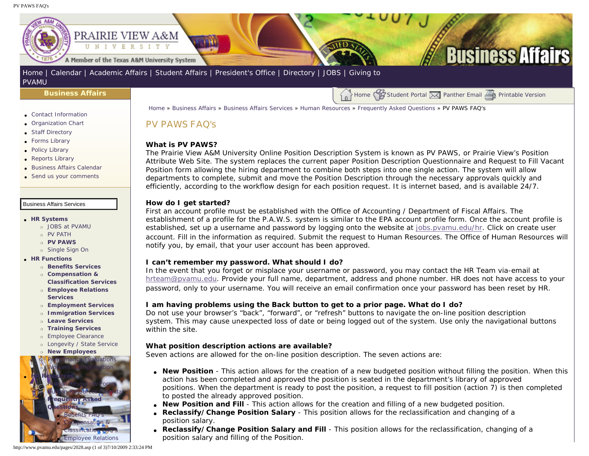<span id="page-0-0"></span>PV PAWS FAQ's



#### **[PVAMU](http://www.pvamu.edu/giving)**

#### **[Business Affairs](http://www.pvamu.edu/pages/102.asp)**

- [Contact Information](http://www.pvamu.edu/pages/527.asp)
- [Organization Chart](http://www.pvamu.edu/pages/528.asp)
- [Staff Directory](http://www.pvamu.edu/pages/529.asp)
- [Forms Library](http://www.pvamu.edu/pages/531.asp)
- [Policy Library](http://www.pvamu.edu/pages/532.asp)
- [Reports Library](http://www.pvamu.edu/pages/533.asp)
- [Business Affairs Calendar](http://www.pvamu.edu/pages/534.asp)
- [Send us your comments](http://www.pvamu.edu/pages/535.asp)

- ● **[HR Systems](http://www.pvamu.edu/pages/555.asp)**
	- ❍ [JOBS at PVAMU](http://www.pvamu.edu/pages/118.asp)
	- ❍ [PV PATH](http://www.pvamu.edu/pages/1996.asp)
	- ❍ **[PV PAWS](http://www.pvamu.edu/pages/1997.asp)**
	- ❍ [Single Sign On](http://www.pvamu.edu/pages/684.asp)
- ● **[HR Functions](http://www.pvamu.edu/pages/555.asp)**
	- ❍ **[Benefits Services](http://www.pvamu.edu/pages/685.asp)**
	- ❍ **[Compensation &](http://www.pvamu.edu/pages/689.asp) [Classification Services](http://www.pvamu.edu/pages/689.asp)**
	- ❍ **[Employee Relations](http://www.pvamu.edu/pages/690.asp)  [Services](http://www.pvamu.edu/pages/690.asp)**
	- ❍ **[Employment Services](http://www.pvamu.edu/pages/676.asp)**
	- ❍ **[Immigration Services](http://www.pvamu.edu/pages/694.asp)**
	- ❍ **[Leave Services](http://www.pvamu.edu/pages/687.asp)**
	- ❍ **[Training Services](http://www.pvamu.edu/pages/693.asp)**
	- ❍ [Employee Clearance](http://www.pvamu.edu/pages/3032.asp)
	- ❍ [Longevity / State Service](http://www.pvamu.edu/pages/3578.asp) ❍ **[New Employees](http://www.pvamu.edu/pages/1998.asp)**



[Home](http://www.pvamu.edu/pages/1.asp) » [Business Affairs](http://www.pvamu.edu/pages/102.asp) » [Business Affairs Services](http://www.pvamu.edu/pages/530.asp) » [Human Resources](http://www.pvamu.edu/pages/555.asp) » [Frequently Asked Questions](http://www.pvamu.edu/pages/680.asp) » PV PAWS FAQ's

# PV PAWS FAQ's

#### **What is PV PAWS?**

The Prairie View A&M University Online Position Description System is known as PV PAWS, or Prairie View's Position Attribute Web Site. The system replaces the current paper Position Description Questionnaire and Request to Fill Vacant Position form allowing the hiring department to combine both steps into one single action. The system will allow departments to complete, submit and move the Position Description through the necessary approvals quickly and efficiently, according to the workflow design for each position request. It is internet based, and is available 24/7.

 $\bigcup_{n=1}^{\infty}$  Home  $\bigvee_{n=1}^{\infty}$  [Student Portal](http://panthertracks.pvamu.edu/)  $\bigvee_{n=1}^{\infty}$  [Printable Version](http://www.pvamu.edu/print/2028.asp)

#### **How do I get started?**

First an account profile must be established with the Office of Accounting / Department of Fiscal Affairs. The establishment of a profile for the P.A.W.S. system is similar to the EPA account profile form. Once the account profile is established, set up a username and password by logging onto the website at [jobs.pvamu.edu/hr](https://jobs.pvamu.edu/hr). Click on create user account. Fill in the information as required. Submit the request to Human Resources. The Office of Human Resources will notify you, by email, that your user account has been approved.

#### **I can't remember my password. What should I do?**

In the event that you forget or misplace your username or password, you may contact the HR Team via-email at [hrteam@pvamu.edu](mailto:hrteam@pvamu.edu). Provide your full name, department, address and phone number. HR does not have access to your password, only to your username. You will receive an email confirmation once your password has been reset by HR.

### **I am having problems using the Back button to get to a prior page. What do I do?**

Do not use your browser's "back", "forward", or "refresh" buttons to navigate the on-line position description system. This may cause unexpected loss of date or being logged out of the system. Use only the navigational buttons within the site.

#### **What position description actions are available?**

Seven actions are allowed for the on-line position description. The seven actions are:

- **New Position** This action allows for the creation of a new budgeted position without filling the position. When this action has been completed and approved the position is seated in the department's library of approved positions. When the department is ready to post the position, a request to fill position (action 7) is then completed to posted the already approved position.
- **New Position and Fill** This action allows for the creation and filling of a new budgeted position.
- **Reclassify/Change Position Salary** This position allows for the reclassification and changing of a position salary.
- **Reclassify/Change Position Salary and Fill** This position allows for the reclassification, changing of a position salary and filling of the Position.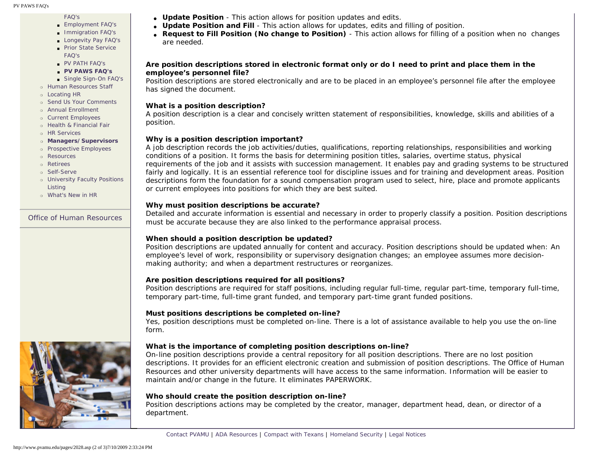# [FAQ's](http://www.pvamu.edu/pages/2021.asp)

- [Employment FAQ's](http://www.pvamu.edu/pages/2017.asp)
- [Immigration FAQ's](http://www.pvamu.edu/pages/2022.asp) ■ [Longevity Pay FAQ's](http://www.pvamu.edu/pages/2025.asp)
- [Prior State Service](http://www.pvamu.edu/pages/2024.asp)
- [FAQ's](http://www.pvamu.edu/pages/2024.asp)
- [PV PATH FAQ's](http://www.pvamu.edu/pages/2027.asp)
- ■ **[PV PAWS FAQ's](#page-0-0)**
- [Single Sign-On FAQ's](http://www.pvamu.edu/pages/2023.asp)
- ❍ [Human Resources Staff](http://www.pvamu.edu/pages/675.asp)
- ❍ [Locating HR](http://www.pvamu.edu/pages/681.asp)
- ❍ [Send Us Your Comments](http://www.pvamu.edu/pages/1829.asp) ❍ [Annual Enrollment](http://www.pvamu.edu/pages/5696.asp)
- ❍ [Current Employees](http://www.pvamu.edu/pages/4707.asp)
- ❍ [Health & Financial Fair](http://www.pvamu.edu/pages/5122.asp)
- ❍ [HR Services](http://www.pvamu.edu/pages/5322.asp)
- ❍ **[Managers/Supervisors](http://www.pvamu.edu/pages/3942.asp)**
- ❍ [Prospective Employees](http://www.pvamu.edu/pages/4724.asp)
- ❍ [Resources](http://www.pvamu.edu/pages/5324.asp)
- ❍ [Retirees](http://www.pvamu.edu/pages/4735.asp)
- o [Self-Serve](http://www.pvamu.edu/pages/5323.asp)
- ❍ [University Faculty Positions](http://www.pvamu.edu/pages/3397.asp) [Listing](http://www.pvamu.edu/pages/3397.asp)
- ❍ [What's New in HR](http://www.pvamu.edu/pages/5201.asp)

## [Office of Human Resources](http://www.pvamu.edu/pages/555.asp)



- **Update Position and Fill** This action allows for updates, edits and filling of position.
- **Request to Fill Position (No change to Position)** This action allows for filling of a position when no changes are needed.

## **Are position descriptions stored in electronic format only or do I need to print and place them in the employee's personnel file?**

Position descriptions are stored electronically and are to be placed in an employee's personnel file after the employee has signed the document.

## **What is a position description?**

A position description is a clear and concisely written statement of responsibilities, knowledge, skills and abilities of a position.

## **Why is a position description important?**

A job description records the job activities/duties, qualifications, reporting relationships, responsibilities and working conditions of a position. It forms the basis for determining position titles, salaries, overtime status, physical requirements of the job and it assists with succession management. It enables pay and grading systems to be structured fairly and logically. It is an essential reference tool for discipline issues and for training and development areas. Position descriptions form the foundation for a sound compensation program used to select, hire, place and promote applicants or current employees into positions for which they are best suited.

## **Why must position descriptions be accurate?**

Detailed and accurate information is essential and necessary in order to properly classify a position. Position descriptions must be accurate because they are also linked to the performance appraisal process.

# **When should a position description be updated?**

Position descriptions are updated annually for content and accuracy. Position descriptions should be updated when: An employee's level of work, responsibility or supervisory designation changes; an employee assumes more decisionmaking authority; and when a department restructures or reorganizes.

# **Are position descriptions required for all positions?**

Position descriptions are required for staff positions, including regular full-time, regular part-time, temporary full-time, temporary part-time, full-time grant funded, and temporary part-time grant funded positions.

## **Must positions descriptions be completed on-line?**

Yes, position descriptions must be completed on-line. There is a lot of assistance available to help you use the on-line form.

# **What is the importance of completing position descriptions on-line?**

On-line position descriptions provide a central repository for all position descriptions. There are no lost position descriptions. It provides for an efficient electronic creation and submission of position descriptions. The Office of Human Resources and other university departments will have access to the same information. Information will be easier to maintain and/or change in the future. It eliminates PAPERWORK.

## **Who should create the position description on-line?**

Position descriptions actions may be completed by the creator, manager, department head, dean, or director of a department.